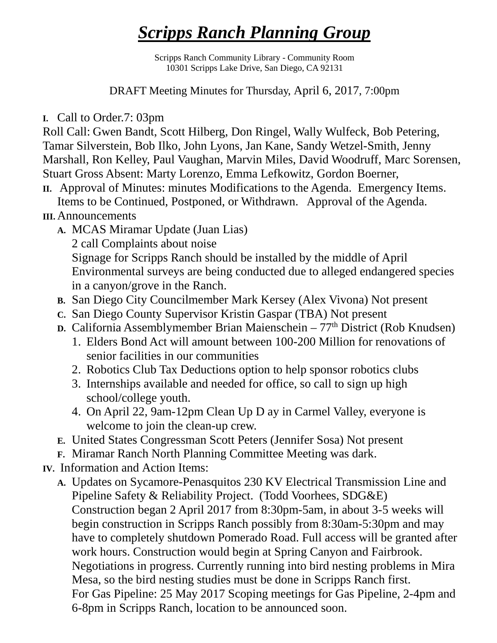## *Scripps Ranch Planning Group*

Scripps Ranch Community Library - Community Room 10301 Scripps Lake Drive, San Diego, CA 92131

DRAFT Meeting Minutes for Thursday, April 6, 2017, 7:00pm

**I.** Call to Order.7: 03pm

Roll Call: Gwen Bandt, Scott Hilberg, Don Ringel, Wally Wulfeck, Bob Petering, Tamar Silverstein, Bob Ilko, John Lyons, Jan Kane, Sandy Wetzel-Smith, Jenny Marshall, Ron Kelley, Paul Vaughan, Marvin Miles, David Woodruff, Marc Sorensen, Stuart Gross Absent: Marty Lorenzo, Emma Lefkowitz, Gordon Boerner,

**II.** Approval of Minutes: minutes Modifications to the Agenda. Emergency Items. Items to be Continued, Postponed, or Withdrawn. Approval of the Agenda.

## **III.** Announcements

- **A.** MCAS Miramar Update (Juan Lias) 2 call Complaints about noise Signage for Scripps Ranch should be installed by the middle of April Environmental surveys are being conducted due to alleged endangered species in a canyon/grove in the Ranch.
- **B.** San Diego City Councilmember Mark Kersey (Alex Vivona) Not present
- **C.** San Diego County Supervisor Kristin Gaspar (TBA) Not present
- **D.** California Assemblymember Brian Maienschein 77<sup>th</sup> District (Rob Knudsen)
	- 1. Elders Bond Act will amount between 100-200 Million for renovations of senior facilities in our communities
	- 2. Robotics Club Tax Deductions option to help sponsor robotics clubs
	- 3. Internships available and needed for office, so call to sign up high school/college youth.
	- 4. On April 22, 9am-12pm Clean Up D ay in Carmel Valley, everyone is welcome to join the clean-up crew.
- **E.** United States Congressman Scott Peters (Jennifer Sosa) Not present
- **F.** Miramar Ranch North Planning Committee Meeting was dark.
- **IV.** Information and Action Items:
	- **A.** Updates on Sycamore-Penasquitos 230 KV Electrical Transmission Line and Pipeline Safety & Reliability Project. (Todd Voorhees, SDG&E) Construction began 2 April 2017 from 8:30pm-5am, in about 3-5 weeks will begin construction in Scripps Ranch possibly from 8:30am-5:30pm and may have to completely shutdown Pomerado Road. Full access will be granted after work hours. Construction would begin at Spring Canyon and Fairbrook. Negotiations in progress. Currently running into bird nesting problems in Mira Mesa, so the bird nesting studies must be done in Scripps Ranch first. For Gas Pipeline: 25 May 2017 Scoping meetings for Gas Pipeline, 2-4pm and 6-8pm in Scripps Ranch, location to be announced soon.